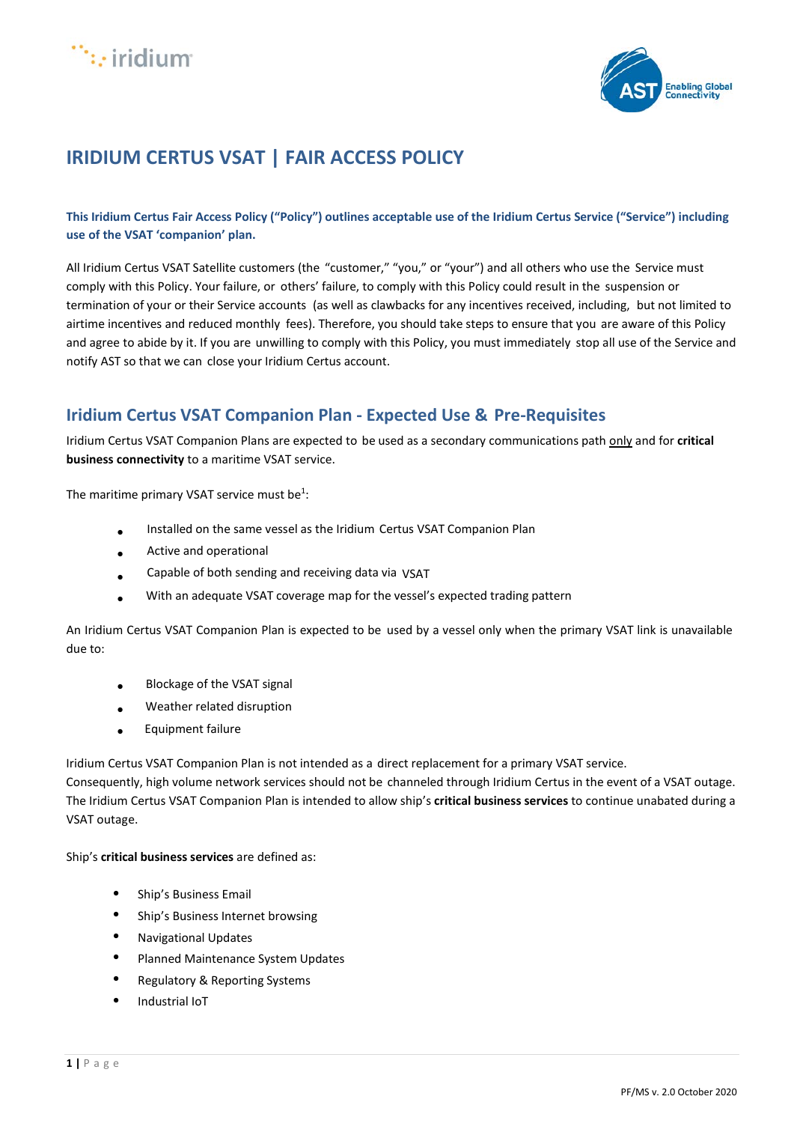



# **IRIDIUM CERTUS VSAT | FAIR ACCESS POLICY**

**This Iridium Certus Fair Access Policy ("Policy") outlines acceptable use of the Iridium Certus Service ("Service") including use of the VSAT 'companion' plan.** 

All Iridium Certus VSAT Satellite customers (the "customer," "you," or "your") and all others who use the Service must comply with this Policy. Your failure, or others' failure, to comply with this Policy could result in the suspension or termination of your or their Service accounts (as well as clawbacks for any incentives received, including, but not limited to airtime incentives and reduced monthly fees). Therefore, you should take steps to ensure that you are aware of this Policy and agree to abide by it. If you are unwilling to comply with this Policy, you must immediately stop all use of the Service and notify AST so that we can close your Iridium Certus account.

# **Iridium Certus VSAT Companion Plan - Expected Use & Pre-Requisites**

Iridium Certus VSAT Companion Plans are expected to be used as a secondary communications path only and for **critical business connectivity** to a maritime VSAT service.

The maritime primary VSAT service must be<sup>1</sup>:

- Installed on the same vessel as the Iridium Certus VSAT Companion Plan
- Active and operational
- Capable of both sending and receiving data via VSAT
- With an adequate VSAT coverage map for the vessel's expected trading pattern

An Iridium Certus VSAT Companion Plan is expected to be used by a vessel only when the primary VSAT link is unavailable due to:

- Blockage of the VSAT signal
- Weather related disruption
- Equipment failure

Iridium Certus VSAT Companion Plan is not intended as a direct replacement for a primary VSAT service.

Consequently, high volume network services should not be channeled through Iridium Certus in the event of a VSAT outage. The Iridium Certus VSAT Companion Plan is intended to allow ship's **critical business services** to continue unabated during a VSAT outage.

Ship's **critical business services** are defined as:

- Ship's Business Email
- Ship's Business Internet browsing
- Navigational Updates
- Planned Maintenance System Updates
- Regulatory & Reporting Systems
- Industrial IoT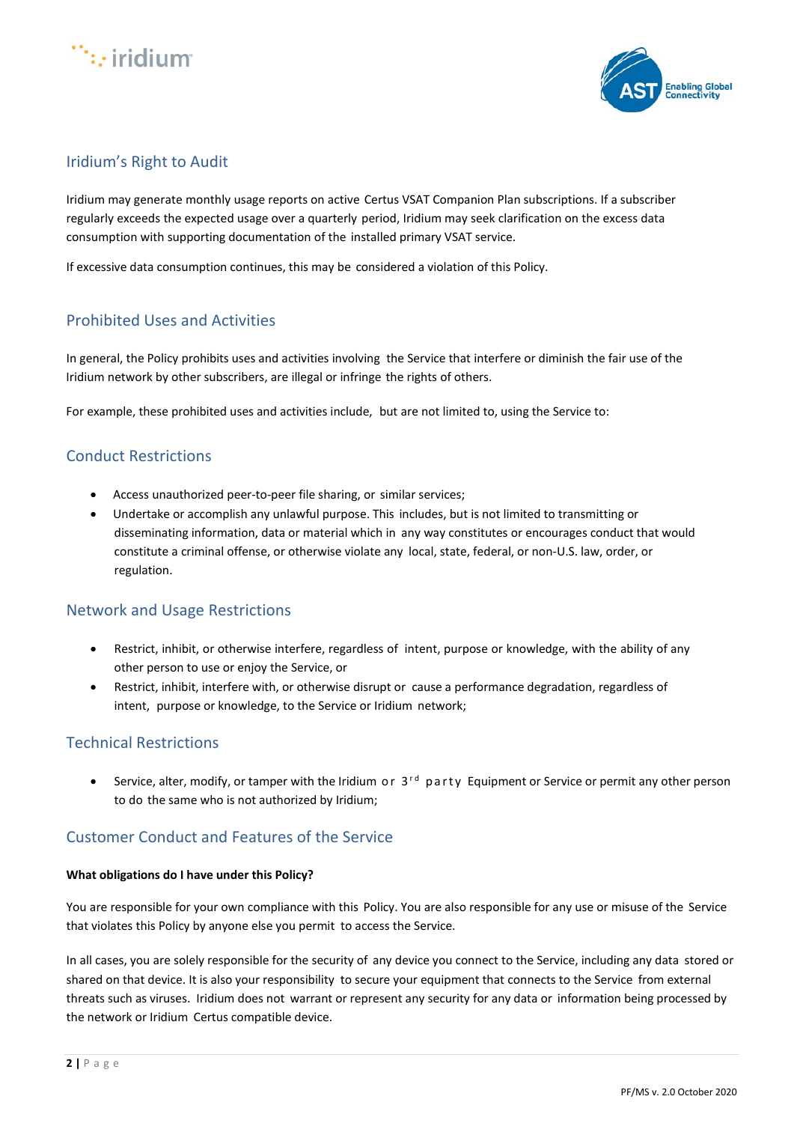



# Iridium's Right to Audit

Iridium may generate monthly usage reports on active Certus VSAT Companion Plan subscriptions. If a subscriber regularly exceeds the expected usage over a quarterly period, Iridium may seek clarification on the excess data consumption with supporting documentation of the installed primary VSAT service.

If excessive data consumption continues, this may be considered a violation of this Policy.

# Prohibited Uses and Activities

In general, the Policy prohibits uses and activities involving the Service that interfere or diminish the fair use of the Iridium network by other subscribers, are illegal or infringe the rights of others.

For example, these prohibited uses and activities include, but are not limited to, using the Service to:

### Conduct Restrictions

- Access unauthorized peer-to-peer file sharing, or similar services;
- Undertake or accomplish any unlawful purpose. This includes, but is not limited to transmitting or disseminating information, data or material which in any way constitutes or encourages conduct that would constitute a criminal offense, or otherwise violate any local, state, federal, or non-U.S. law, order, or regulation.

#### Network and Usage Restrictions

- Restrict, inhibit, or otherwise interfere, regardless of intent, purpose or knowledge, with the ability of any other person to use or enjoy the Service, or
- Restrict, inhibit, interfere with, or otherwise disrupt or cause a performance degradation, regardless of intent, purpose or knowledge, to the Service or Iridium network;

## Technical Restrictions

• Service, alter, modify, or tamper with the Iridium or  $3<sup>rd</sup>$  party Equipment or Service or permit any other person to do the same who is not authorized by Iridium;

### Customer Conduct and Features of the Service

#### **What obligations do I have under this Policy?**

You are responsible for your own compliance with this Policy. You are also responsible for any use or misuse of the Service that violates this Policy by anyone else you permit to access the Service.

In all cases, you are solely responsible for the security of any device you connect to the Service, including any data stored or shared on that device. It is also your responsibility to secure your equipment that connects to the Service from external threats such as viruses. Iridium does not warrant or represent any security for any data or information being processed by the network or Iridium Certus compatible device.